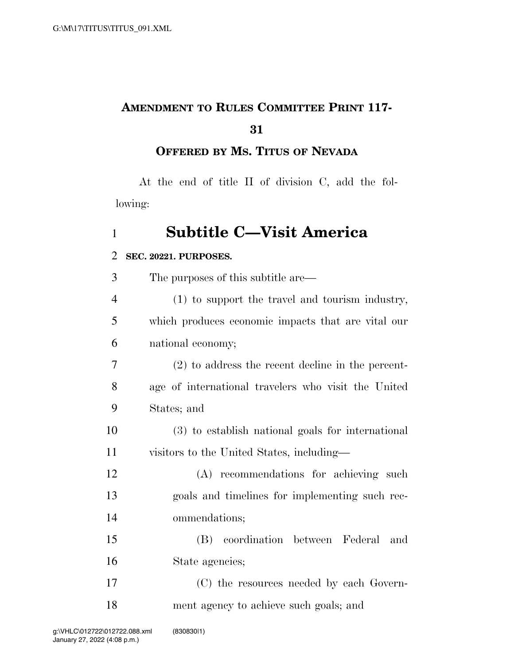# **AMENDMENT TO RULES COMMITTEE PRINT 117-**

### **OFFERED BY MS. TITUS OF NEVADA**

At the end of title II of division C, add the following:

## **Subtitle C—Visit America**

#### **SEC. 20221. PURPOSES.**

| 3              | The purposes of this subtitle are—                  |
|----------------|-----------------------------------------------------|
| $\overline{4}$ | (1) to support the travel and tourism industry,     |
| 5              | which produces economic impacts that are vital our  |
| 6              | national economy;                                   |
| 7              | $(2)$ to address the recent decline in the percent- |
| 8              | age of international travelers who visit the United |
| 9              | States; and                                         |
| 10             | (3) to establish national goals for international   |
| 11             | visitors to the United States, including—           |
| 12             | (A) recommendations for achieving such              |
| 13             | goals and timelines for implementing such rec-      |
| 14             | ommendations;                                       |
| 15             | (B) coordination between Federal<br>and             |
| 16             | State agencies;                                     |
| 17             | (C) the resources needed by each Govern-            |
| 18             | ment agency to achieve such goals; and              |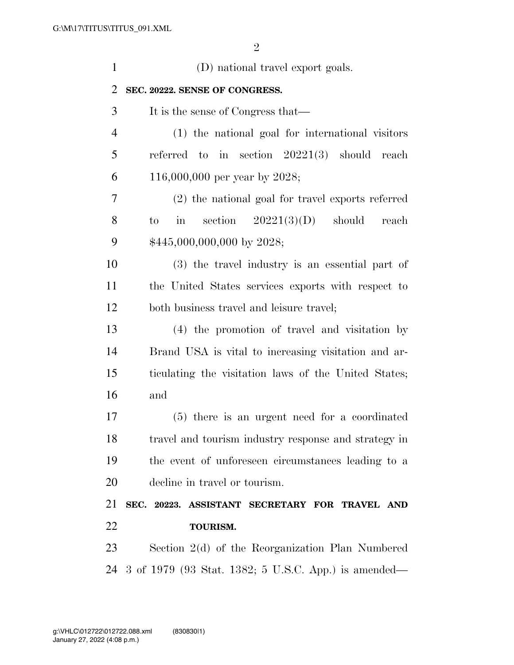| $\mathbf{1}$ | (D) national travel export goals.                       |  |
|--------------|---------------------------------------------------------|--|
| 2            | SEC. 20222. SENSE OF CONGRESS.                          |  |
| 3            | It is the sense of Congress that—                       |  |
| 4            | (1) the national goal for international visitors        |  |
| 5            | referred to in section $20221(3)$ should reach          |  |
| 6            | 116,000,000 per year by 2028;                           |  |
| 7            | (2) the national goal for travel exports referred       |  |
| 8            | section $20221(3)(D)$ should<br>in<br>reach<br>to       |  |
| 9            | $$445,000,000,000$ by 2028;                             |  |
| 10           | (3) the travel industry is an essential part of         |  |
| 11           | the United States services exports with respect to      |  |
| 12           | both business travel and leisure travel;                |  |
| 13           | (4) the promotion of travel and visitation by           |  |
| 14           | Brand USA is vital to increasing visitation and ar-     |  |
| 15           | ticulating the visitation laws of the United States;    |  |
| 16           | and                                                     |  |
| 17           | (5) there is an urgent need for a coordinated           |  |
| 18           | travel and tourism industry response and strategy in    |  |
| 19           | the event of unforeseen circumstances leading to a      |  |
| 20           | decline in travel or tourism.                           |  |
| 21           | SEC. 20223. ASSISTANT SECRETARY FOR TRAVEL AND          |  |
| 22           | <b>TOURISM.</b>                                         |  |
| 23           | Section 2(d) of the Reorganization Plan Numbered        |  |
|              | 24 3 of 1979 (93 Stat. 1382; 5 U.S.C. App.) is amended— |  |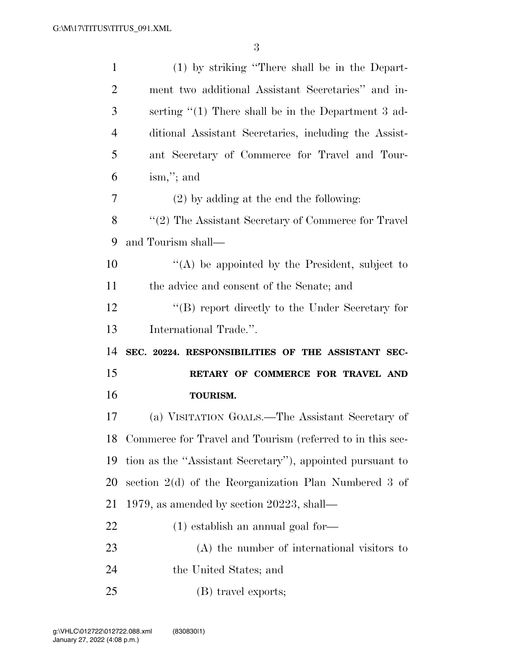| $\mathbf{1}$   | (1) by striking "There shall be in the Depart-               |
|----------------|--------------------------------------------------------------|
| $\overline{2}$ | ment two additional Assistant Secretaries" and in-           |
| 3              | serting $\lq(1)$ There shall be in the Department 3 ad-      |
| $\overline{4}$ | ditional Assistant Secretaries, including the Assist-        |
| 5              | ant Secretary of Commerce for Travel and Tour-               |
| 6              | $\lim$ ,"; and                                               |
| 7              | $(2)$ by adding at the end the following:                    |
| 8              | $\lq(2)$ The Assistant Secretary of Commerce for Travel      |
| 9              | and Tourism shall—                                           |
| 10             | $\lq\lq$ be appointed by the President, subject to           |
| 11             | the advice and consent of the Senate; and                    |
| 12             | $\lq\lq (B)$ report directly to the Under Secretary for      |
|                |                                                              |
| 13             | International Trade.".                                       |
| 14             | SEC. 20224. RESPONSIBILITIES OF THE ASSISTANT SEC-           |
| 15             | RETARY OF COMMERCE FOR TRAVEL AND                            |
| 16             | <b>TOURISM.</b>                                              |
| 17             | (a) VISITATION GOALS.—The Assistant Secretary of             |
|                | 18 Commerce for Travel and Tourism (referred to in this sec- |
| 19             | tion as the "Assistant Secretary"), appointed pursuant to    |
| <b>20</b>      | section 2(d) of the Reorganization Plan Numbered 3 of        |
| 21             | 1979, as amended by section 20223, shall—                    |
| 22             | $(1)$ establish an annual goal for—                          |
| 23             | (A) the number of international visitors to                  |
| 24             | the United States; and                                       |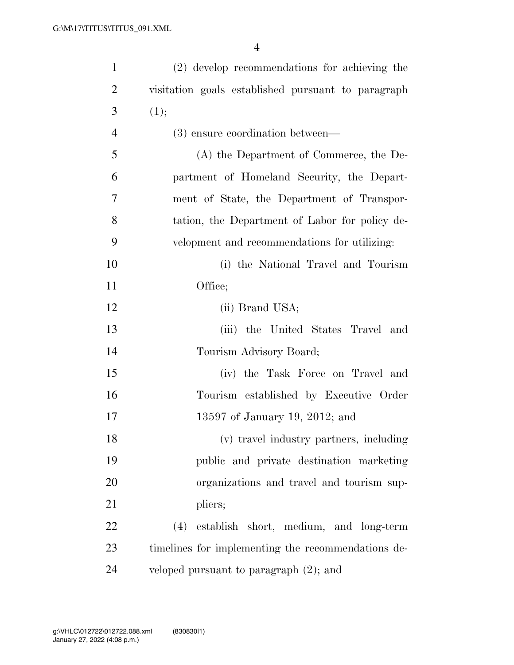| $\mathbf{1}$   | (2) develop recommendations for achieving the      |
|----------------|----------------------------------------------------|
| $\overline{2}$ | visitation goals established pursuant to paragraph |
| 3              | (1);                                               |
| $\overline{4}$ | (3) ensure coordination between—                   |
| 5              | (A) the Department of Commerce, the De-            |
| 6              | partment of Homeland Security, the Depart-         |
| 7              | ment of State, the Department of Transpor-         |
| 8              | tation, the Department of Labor for policy de-     |
| 9              | velopment and recommendations for utilizing:       |
| 10             | (i) the National Travel and Tourism                |
| 11             | Office;                                            |
| 12             | (ii) Brand USA;                                    |
| 13             | (iii) the United States Travel and                 |
| 14             | Tourism Advisory Board;                            |
| 15             | (iv) the Task Force on Travel and                  |
| 16             | Tourism established by Executive Order             |
| 17             | 13597 of January 19, 2012; and                     |
| 18             | (v) travel industry partners, including            |
| 19             | public and private destination marketing           |
| 20             | organizations and travel and tourism sup-          |
| 21             | pliers;                                            |
| 22             | (4) establish short, medium, and long-term         |
| 23             | timelines for implementing the recommendations de- |
| 24             | veloped pursuant to paragraph $(2)$ ; and          |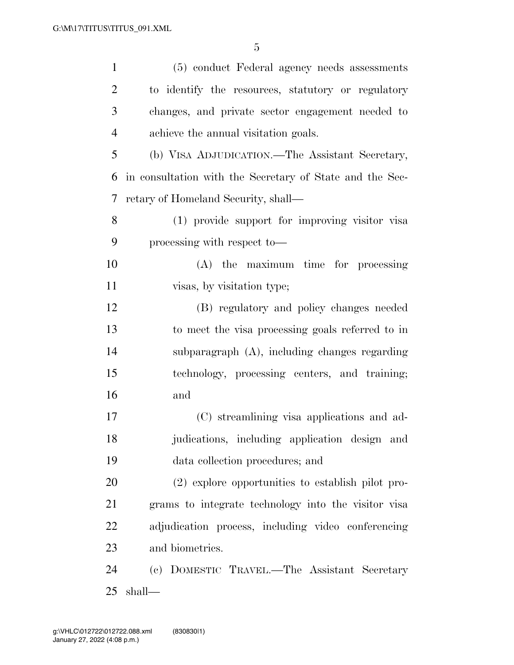| $\mathbf{1}$   | (5) conduct Federal agency needs assessments             |
|----------------|----------------------------------------------------------|
| $\overline{2}$ | to identify the resources, statutory or regulatory       |
| 3              | changes, and private sector engagement needed to         |
| $\overline{4}$ | achieve the annual visitation goals.                     |
| 5              | (b) VISA ADJUDICATION.—The Assistant Secretary,          |
| 6              | in consultation with the Secretary of State and the Sec- |
| 7              | retary of Homeland Security, shall—                      |
| 8              | (1) provide support for improving visitor visa           |
| 9              | processing with respect to-                              |
| 10             | (A) the maximum time for processing                      |
| 11             | visas, by visitation type;                               |
| 12             | (B) regulatory and policy changes needed                 |
| 13             | to meet the visa processing goals referred to in         |
| 14             | subparagraph (A), including changes regarding            |
| 15             | technology, processing centers, and training;            |
| 16             | and                                                      |
| 17             | (C) streamlining visa applications and ad-               |
| 18             | judications, including application design and            |
| 19             | data collection procedures; and                          |
| 20             | (2) explore opportunities to establish pilot pro-        |
| 21             | grams to integrate technology into the visitor visa      |
| 22             | adjudication process, including video conferencing       |
| 23             | and biometrics.                                          |
| 24             | (c) DOMESTIC TRAVEL.—The Assistant Secretary             |
| 25             | shall—                                                   |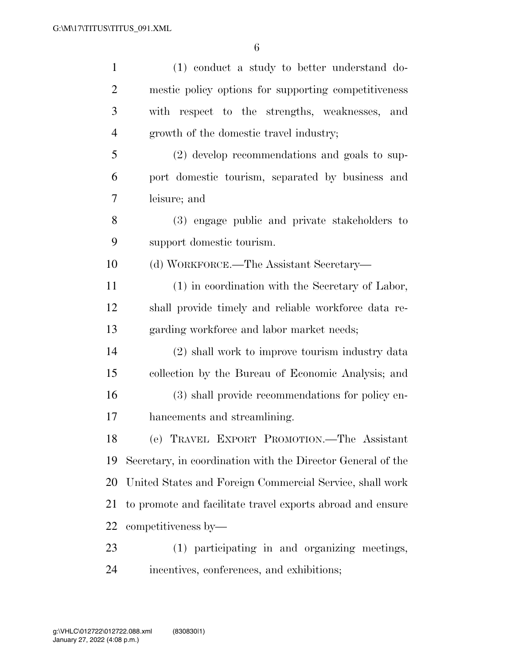| $\mathbf{1}$   | (1) conduct a study to better understand do-                |
|----------------|-------------------------------------------------------------|
| $\overline{2}$ | mestic policy options for supporting competitiveness        |
| 3              | with respect to the strengths, weaknesses,<br>and           |
| $\overline{4}$ | growth of the domestic travel industry;                     |
| 5              | (2) develop recommendations and goals to sup-               |
| 6              | port domestic tourism, separated by business and            |
| 7              | leisure; and                                                |
| 8              | (3) engage public and private stakeholders to               |
| 9              | support domestic tourism.                                   |
| 10             | (d) WORKFORCE.—The Assistant Secretary—                     |
| 11             | (1) in coordination with the Secretary of Labor,            |
| 12             | shall provide timely and reliable workforce data re-        |
| 13             | garding workforce and labor market needs;                   |
| 14             | (2) shall work to improve tourism industry data             |
| 15             | collection by the Bureau of Economic Analysis; and          |
| 16             | (3) shall provide recommendations for policy en-            |
| 17             | hancements and streamlining.                                |
| 18             | (e) TRAVEL EXPORT PROMOTION.—The Assistant                  |
| 19             | Secretary, in coordination with the Director General of the |
| 20             | United States and Foreign Commercial Service, shall work    |
| 21             | to promote and facilitate travel exports abroad and ensure  |
| 22             | competitiveness by—                                         |
| 23             | (1) participating in and organizing meetings,               |
| 24             | incentives, conferences, and exhibitions;                   |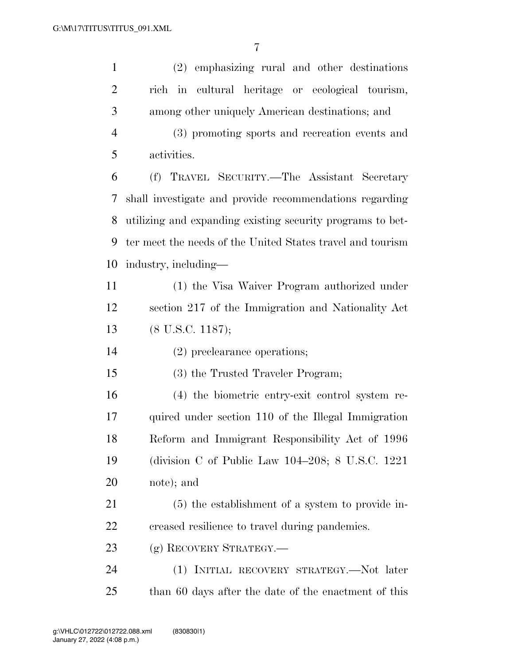| $\mathbf{1}$   | (2) emphasizing rural and other destinations               |  |  |  |
|----------------|------------------------------------------------------------|--|--|--|
| $\overline{2}$ | rich in cultural heritage or ecological tourism,           |  |  |  |
| 3              | among other uniquely American destinations; and            |  |  |  |
| $\overline{4}$ | (3) promoting sports and recreation events and             |  |  |  |
| 5              | activities.                                                |  |  |  |
| 6              | (f) TRAVEL SECURITY.—The Assistant Secretary               |  |  |  |
| 7              | shall investigate and provide recommendations regarding    |  |  |  |
| 8              | utilizing and expanding existing security programs to bet- |  |  |  |
| 9              | ter meet the needs of the United States travel and tourism |  |  |  |
| 10             | industry, including—                                       |  |  |  |
| 11             | (1) the Visa Waiver Program authorized under               |  |  |  |
| 12             | section 217 of the Immigration and Nationality Act         |  |  |  |
| 13             | $(8$ U.S.C. 1187);                                         |  |  |  |
| 14             | (2) preclearance operations;                               |  |  |  |
| 15             | (3) the Trusted Traveler Program;                          |  |  |  |
| 16             | (4) the biometric entry-exit control system re-            |  |  |  |
| 17             | quired under section 110 of the Illegal Immigration        |  |  |  |
| 18             | Reform and Immigrant Responsibility Act of 1996            |  |  |  |
| 19             | (division C of Public Law $104-208$ ; 8 U.S.C. 1221        |  |  |  |
| 20             | note); and                                                 |  |  |  |
| 21             | (5) the establishment of a system to provide in-           |  |  |  |
| 22             | creased resilience to travel during pandemics.             |  |  |  |
| 23             | (g) RECOVERY STRATEGY.—                                    |  |  |  |
| 24             | (1) INITIAL RECOVERY STRATEGY.—Not later                   |  |  |  |
| 25             | than 60 days after the date of the enactment of this       |  |  |  |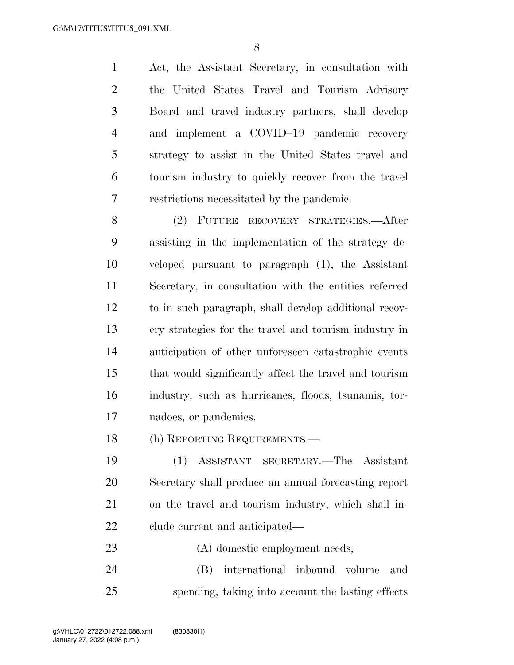Act, the Assistant Secretary, in consultation with the United States Travel and Tourism Advisory Board and travel industry partners, shall develop and implement a COVID–19 pandemic recovery strategy to assist in the United States travel and tourism industry to quickly recover from the travel restrictions necessitated by the pandemic.

 (2) FUTURE RECOVERY STRATEGIES.—After assisting in the implementation of the strategy de- veloped pursuant to paragraph (1), the Assistant Secretary, in consultation with the entities referred to in such paragraph, shall develop additional recov- ery strategies for the travel and tourism industry in anticipation of other unforeseen catastrophic events that would significantly affect the travel and tourism industry, such as hurricanes, floods, tsunamis, tor-nadoes, or pandemics.

(h) REPORTING REQUIREMENTS.—

 (1) ASSISTANT SECRETARY.—The Assistant Secretary shall produce an annual forecasting report on the travel and tourism industry, which shall in-clude current and anticipated—

 (A) domestic employment needs; (B) international inbound volume and spending, taking into account the lasting effects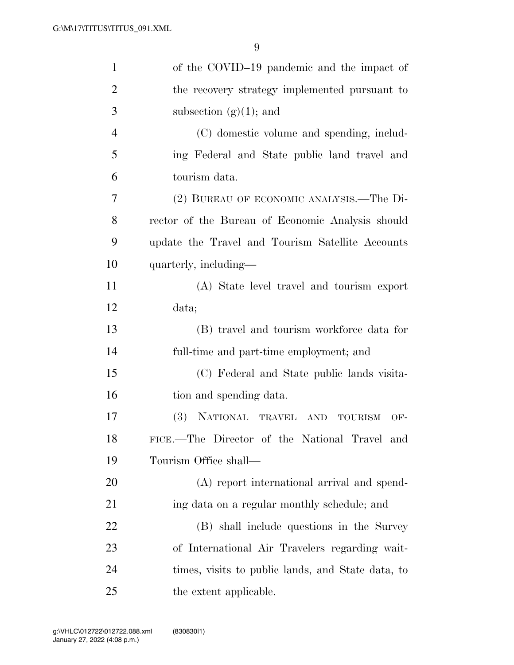| $\mathbf{1}$   | of the COVID-19 pandemic and the impact of        |
|----------------|---------------------------------------------------|
| $\overline{2}$ | the recovery strategy implemented pursuant to     |
| 3              | subsection $(g)(1)$ ; and                         |
| 4              | (C) domestic volume and spending, includ-         |
| 5              | ing Federal and State public land travel and      |
| 6              | tourism data.                                     |
| 7              | (2) BUREAU OF ECONOMIC ANALYSIS.—The Di-          |
| 8              | rector of the Bureau of Economic Analysis should  |
| 9              | update the Travel and Tourism Satellite Accounts  |
| 10             | quarterly, including—                             |
| 11             | (A) State level travel and tourism export         |
| 12             | data;                                             |
| 13             | (B) travel and tourism workforce data for         |
| 14             | full-time and part-time employment; and           |
| 15             | (C) Federal and State public lands visita-        |
| 16             | tion and spending data.                           |
| 17             | (3) NATIONAL TRAVEL AND TOURISM<br>OF-            |
| 18             | FICE.-The Director of the National Travel and     |
| 19             | Tourism Office shall—                             |
| 20             | (A) report international arrival and spend-       |
| 21             | ing data on a regular monthly schedule; and       |
| 22             | (B) shall include questions in the Survey         |
| 23             | of International Air Travelers regarding wait-    |
| 24             | times, visits to public lands, and State data, to |
| 25             | the extent applicable.                            |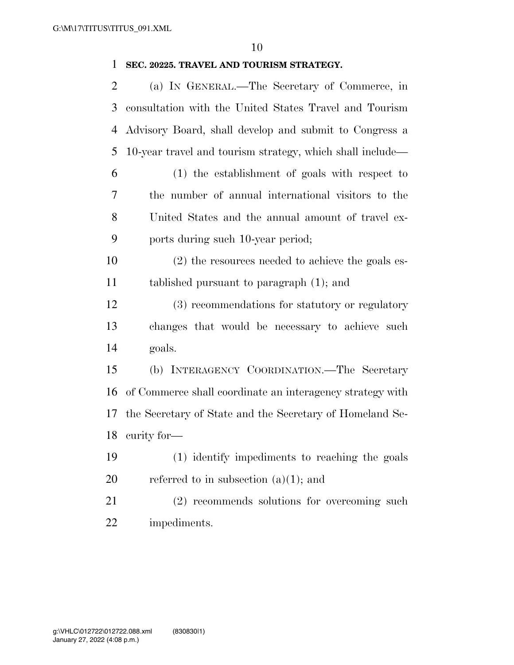### **SEC. 20225. TRAVEL AND TOURISM STRATEGY.**

| $\overline{2}$ | (a) IN GENERAL.—The Secretary of Commerce, in             |
|----------------|-----------------------------------------------------------|
| 3              | consultation with the United States Travel and Tourism    |
| 4              | Advisory Board, shall develop and submit to Congress a    |
| 5              | 10-year travel and tourism strategy, which shall include— |
| 6              | (1) the establishment of goals with respect to            |
| 7              | the number of annual international visitors to the        |
| 8              | United States and the annual amount of travel ex-         |
| 9              | ports during such 10-year period;                         |
| 10             | (2) the resources needed to achieve the goals es-         |
| 11             | tablished pursuant to paragraph $(1)$ ; and               |
| 12             | (3) recommendations for statutory or regulatory           |
| 13             | changes that would be necessary to achieve such           |
| 14             | goals.                                                    |
| 15             | (b) INTERAGENCY COORDINATION.-The Secretary               |
| 16             | of Commerce shall coordinate an interagency strategy with |
| 17             | the Secretary of State and the Secretary of Homeland Se-  |
| 18             | curity for-                                               |
| 19             | (1) identify impediments to reaching the goals            |
| 20             | referred to in subsection $(a)(1)$ ; and                  |
| 21             | (2) recommends solutions for overcoming such              |
| 22             | impediments.                                              |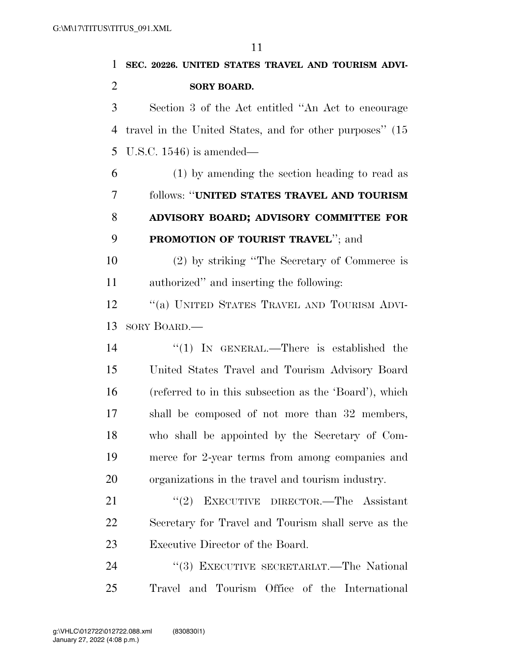| 1              | SEC. 20226. UNITED STATES TRAVEL AND TOURISM ADVI-        |
|----------------|-----------------------------------------------------------|
| $\overline{2}$ | <b>SORY BOARD.</b>                                        |
| 3              | Section 3 of the Act entitled "An Act to encourage        |
| 4              | travel in the United States, and for other purposes" (15) |
| 5              | U.S.C. $1546$ ) is amended—                               |
| 6              | $(1)$ by amending the section heading to read as          |
| 7              | follows: "UNITED STATES TRAVEL AND TOURISM                |
| 8              | ADVISORY BOARD; ADVISORY COMMITTEE FOR                    |
| 9              | <b>PROMOTION OF TOURIST TRAVEL"; and</b>                  |
| 10             | (2) by striking "The Secretary of Commerce is             |
| <sup>11</sup>  | authorized" and inserting the following:                  |
| 12             | "(a) UNITED STATES TRAVEL AND TOURISM ADVI-               |
| 13             | SORY BOARD.—                                              |
| 14             | "(1) IN GENERAL.—There is established the                 |
| 15             | United States Travel and Tourism Advisory Board           |
| 16             | (referred to in this subsection as the 'Board'), which    |
| 17             | shall be composed of not more than 32 members,            |
| 18             | who shall be appointed by the Secretary of Com-           |
| 19             | merce for 2-year terms from among companies and           |
| 20             | organizations in the travel and tourism industry.         |
| 21             | EXECUTIVE DIRECTOR.-The Assistant<br>(2)                  |
| 22             | Secretary for Travel and Tourism shall serve as the       |
| 23             | Executive Director of the Board.                          |
| 24             | "(3) EXECUTIVE SECRETARIAT.—The National                  |
| 25             | Travel and Tourism Office of the International            |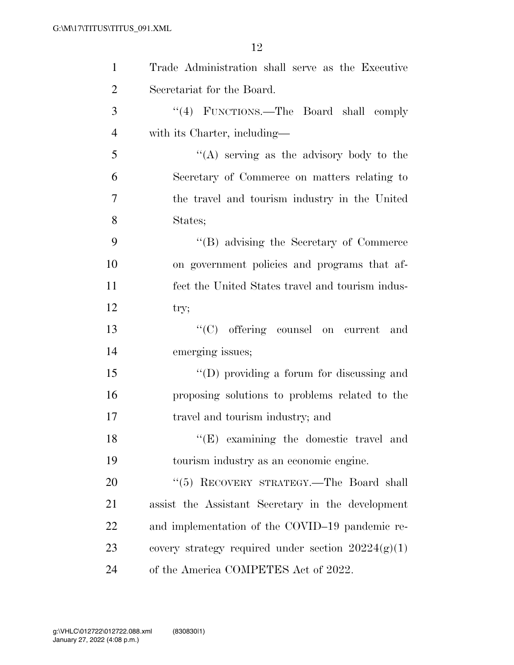| $\mathbf{1}$   | Trade Administration shall serve as the Executive    |
|----------------|------------------------------------------------------|
| $\overline{2}$ | Secretariat for the Board.                           |
| 3              | "(4) FUNCTIONS.—The Board shall comply               |
| $\overline{4}$ | with its Charter, including—                         |
| 5              | "(A) serving as the advisory body to the             |
| 6              | Secretary of Commerce on matters relating to         |
| $\overline{7}$ | the travel and tourism industry in the United        |
| 8              | States;                                              |
| 9              | "(B) advising the Secretary of Commerce              |
| 10             | on government policies and programs that af-         |
| 11             | fect the United States travel and tourism indus-     |
| 12             | try;                                                 |
| 13             | "(C) offering counsel on current<br>and              |
| 14             | emerging issues;                                     |
| 15             | $\lq\lq$ (D) providing a forum for discussing and    |
| 16             | proposing solutions to problems related to the       |
| 17             | travel and tourism industry; and                     |
| 18             | $\lq\lq$ (E) examining the domestic travel and       |
| 19             | tourism industry as an economic engine.              |
| 20             | "(5) RECOVERY STRATEGY.—The Board shall              |
| 21             | assist the Assistant Secretary in the development    |
| 22             | and implementation of the COVID-19 pandemic re-      |
| 23             | covery strategy required under section $20224(g)(1)$ |
| 24             | of the America COMPETES Act of 2022.                 |